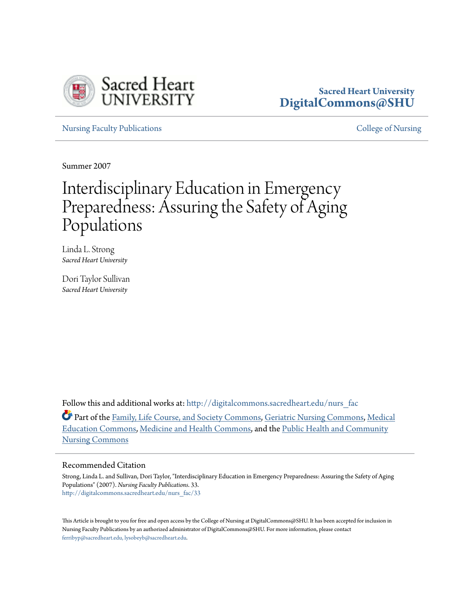

# **Sacred Heart University [DigitalCommons@SHU](http://digitalcommons.sacredheart.edu?utm_source=digitalcommons.sacredheart.edu%2Fnurs_fac%2F33&utm_medium=PDF&utm_campaign=PDFCoverPages)**

[Nursing Faculty Publications](http://digitalcommons.sacredheart.edu/nurs_fac?utm_source=digitalcommons.sacredheart.edu%2Fnurs_fac%2F33&utm_medium=PDF&utm_campaign=PDFCoverPages) **[College of Nursing](http://digitalcommons.sacredheart.edu/nurs?utm_source=digitalcommons.sacredheart.edu%2Fnurs_fac%2F33&utm_medium=PDF&utm_campaign=PDFCoverPages)** College of Nursing

Summer 2007

# Interdisciplinary Education in Emergency Preparedness: Assuring the Safety of Aging Populations

Linda L. Strong *Sacred Heart University*

Dori Taylor Sullivan *Sacred Heart University*

Follow this and additional works at: [http://digitalcommons.sacredheart.edu/nurs\\_fac](http://digitalcommons.sacredheart.edu/nurs_fac?utm_source=digitalcommons.sacredheart.edu%2Fnurs_fac%2F33&utm_medium=PDF&utm_campaign=PDFCoverPages)

Part of the [Family, Life Course, and Society Commons](http://network.bepress.com/hgg/discipline/419?utm_source=digitalcommons.sacredheart.edu%2Fnurs_fac%2F33&utm_medium=PDF&utm_campaign=PDFCoverPages), [Geriatric Nursing Commons,](http://network.bepress.com/hgg/discipline/1034?utm_source=digitalcommons.sacredheart.edu%2Fnurs_fac%2F33&utm_medium=PDF&utm_campaign=PDFCoverPages) [Medical](http://network.bepress.com/hgg/discipline/1125?utm_source=digitalcommons.sacredheart.edu%2Fnurs_fac%2F33&utm_medium=PDF&utm_campaign=PDFCoverPages) [Education Commons](http://network.bepress.com/hgg/discipline/1125?utm_source=digitalcommons.sacredheart.edu%2Fnurs_fac%2F33&utm_medium=PDF&utm_campaign=PDFCoverPages), [Medicine and Health Commons,](http://network.bepress.com/hgg/discipline/422?utm_source=digitalcommons.sacredheart.edu%2Fnurs_fac%2F33&utm_medium=PDF&utm_campaign=PDFCoverPages) and the [Public Health and Community](http://network.bepress.com/hgg/discipline/725?utm_source=digitalcommons.sacredheart.edu%2Fnurs_fac%2F33&utm_medium=PDF&utm_campaign=PDFCoverPages) [Nursing Commons](http://network.bepress.com/hgg/discipline/725?utm_source=digitalcommons.sacredheart.edu%2Fnurs_fac%2F33&utm_medium=PDF&utm_campaign=PDFCoverPages)

#### Recommended Citation

Strong, Linda L. and Sullivan, Dori Taylor, "Interdisciplinary Education in Emergency Preparedness: Assuring the Safety of Aging Populations" (2007). *Nursing Faculty Publications*. 33. [http://digitalcommons.sacredheart.edu/nurs\\_fac/33](http://digitalcommons.sacredheart.edu/nurs_fac/33?utm_source=digitalcommons.sacredheart.edu%2Fnurs_fac%2F33&utm_medium=PDF&utm_campaign=PDFCoverPages)

This Article is brought to you for free and open access by the College of Nursing at DigitalCommons@SHU. It has been accepted for inclusion in Nursing Faculty Publications by an authorized administrator of DigitalCommons@SHU. For more information, please contact [ferribyp@sacredheart.edu, lysobeyb@sacredheart.edu.](mailto:ferribyp@sacredheart.edu,%20lysobeyb@sacredheart.edu)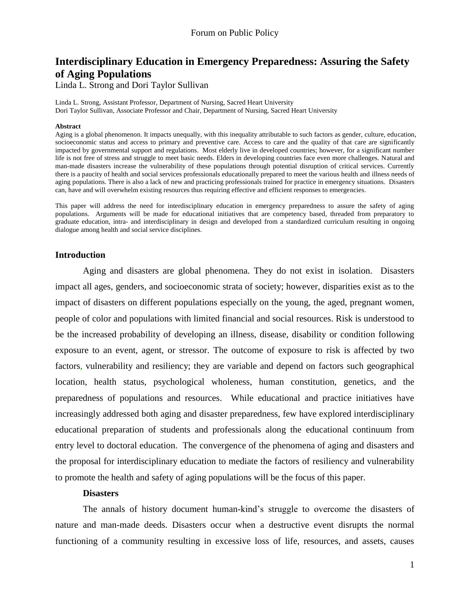# **Interdisciplinary Education in Emergency Preparedness: Assuring the Safety of Aging Populations**

Linda L. Strong and Dori Taylor Sullivan

Linda L. Strong, Assistant Professor, Department of Nursing, Sacred Heart University Dori Taylor Sullivan, Associate Professor and Chair, Department of Nursing, Sacred Heart University

#### **Abstract**

Aging is a global phenomenon. It impacts unequally, with this inequality attributable to such factors as gender, culture, education, socioeconomic status and access to primary and preventive care. Access to care and the quality of that care are significantly impacted by governmental support and regulations. Most elderly live in developed countries; however, for a significant number life is not free of stress and struggle to meet basic needs. Elders in developing countries face even more challenges. Natural and man-made disasters increase the vulnerability of these populations through potential disruption of critical services. Currently there is a paucity of health and social services professionals educationally prepared to meet the various health and illness needs of aging populations. There is also a lack of new and practicing professionals trained for practice in emergency situations. Disasters can, have and will overwhelm existing resources thus requiring effective and efficient responses to emergencies.

This paper will address the need for interdisciplinary education in emergency preparedness to assure the safety of aging populations. Arguments will be made for educational initiatives that are competency based, threaded from preparatory to graduate education, intra- and interdisciplinary in design and developed from a standardized curriculum resulting in ongoing dialogue among health and social service disciplines.

## **Introduction**

Aging and disasters are global phenomena. They do not exist in isolation. Disasters impact all ages, genders, and socioeconomic strata of society; however, disparities exist as to the impact of disasters on different populations especially on the young, the aged, pregnant women, people of color and populations with limited financial and social resources. Risk is understood to be the increased probability of developing an illness, disease, disability or condition following exposure to an event, agent, or stressor. The outcome of exposure to risk is affected by two factors, vulnerability and resiliency; they are variable and depend on factors such geographical location, health status, psychological wholeness, human constitution, genetics, and the preparedness of populations and resources. While educational and practice initiatives have increasingly addressed both aging and disaster preparedness, few have explored interdisciplinary educational preparation of students and professionals along the educational continuum from entry level to doctoral education. The convergence of the phenomena of aging and disasters and the proposal for interdisciplinary education to mediate the factors of resiliency and vulnerability to promote the health and safety of aging populations will be the focus of this paper.

## **Disasters**

The annals of history document human-kind"s struggle to overcome the disasters of nature and man-made deeds. Disasters occur when a destructive event disrupts the normal functioning of a community resulting in excessive loss of life, resources, and assets, causes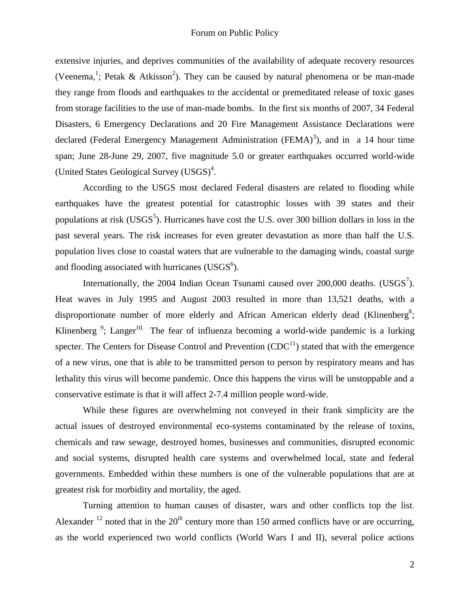extensive injuries, and deprives communities of the availability of adequate recovery resources (Veenema,<sup>1</sup>; Petak & Atkisson<sup>2</sup>). They can be caused by natural phenomena or be man-made they range from floods and earthquakes to the accidental or premeditated release of toxic gases from storage facilities to the use of man-made bombs. In the first six months of 2007, 34 Federal Disasters, 6 Emergency Declarations and 20 Fire Management Assistance Declarations were declared (Federal Emergency Management Administration (FEMA)<sup>3</sup>), and in a 14 hour time span; June 28-June 29, 2007, five magnitude 5.0 or greater earthquakes occurred world-wide (United States Geological Survey  $(USGS)^4$ .

According to the USGS most declared Federal disasters are related to flooding while earthquakes have the greatest potential for catastrophic losses with 39 states and their populations at risk (USGS<sup>5</sup>). Hurricanes have cost the U.S. over 300 billion dollars in loss in the past several years. The risk increases for even greater devastation as more than half the U.S. population lives close to coastal waters that are vulnerable to the damaging winds, coastal surge and flooding associated with hurricanes (USGS $<sup>6</sup>$ ).</sup>

Internationally, the 2004 Indian Ocean Tsunami caused over  $200,000$  deaths. (USGS<sup>7</sup>). Heat waves in July 1995 and August 2003 resulted in more than 13,521 deaths, with a disproportionate number of more elderly and African American elderly dead (Klinenberg<sup>8</sup>; Klinenberg  $\frac{9}{5}$ ; Langer<sup>10.</sup> The fear of influenza becoming a world-wide pandemic is a lurking specter. The Centers for Disease Control and Prevention  $(CDC<sup>11</sup>)$  stated that with the emergence of a new virus, one that is able to be transmitted person to person by respiratory means and has lethality this virus will become pandemic. Once this happens the virus will be unstoppable and a conservative estimate is that it will affect 2-7.4 million people word-wide.

While these figures are overwhelming not conveyed in their frank simplicity are the actual issues of destroyed environmental eco-systems contaminated by the release of toxins, chemicals and raw sewage, destroyed homes, businesses and communities, disrupted economic and social systems, disrupted health care systems and overwhelmed local, state and federal governments. Embedded within these numbers is one of the vulnerable populations that are at greatest risk for morbidity and mortality, the aged.

Turning attention to human causes of disaster, wars and other conflicts top the list. Alexander  $^{12}$  noted that in the  $20<sup>th</sup>$  century more than 150 armed conflicts have or are occurring, as the world experienced two world conflicts (World Wars I and II), several police actions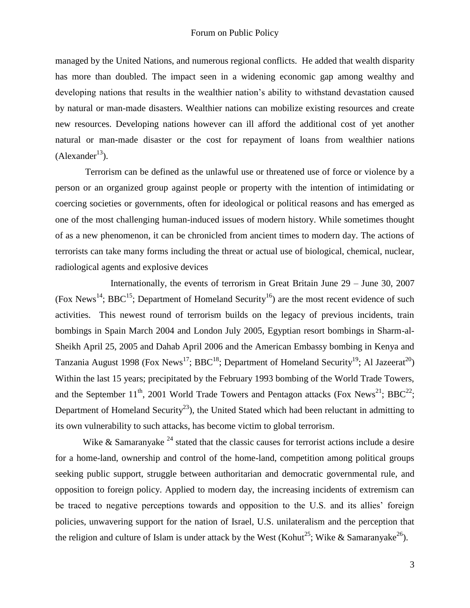managed by the United Nations, and numerous regional conflicts. He added that wealth disparity has more than doubled. The impact seen in a widening economic gap among wealthy and developing nations that results in the wealthier nation"s ability to withstand devastation caused by natural or man-made disasters. Wealthier nations can mobilize existing resources and create new resources. Developing nations however can ill afford the additional cost of yet another natural or man-made disaster or the cost for repayment of loans from wealthier nations  $(Alexander<sup>13</sup>)$ .

Terrorism can be defined as the unlawful use or threatened use of force or violence by a person or an organized group against people or property with the intention of intimidating or coercing societies or governments, often for ideological or political reasons and has emerged as one of the most challenging human-induced issues of modern history. While sometimes thought of as a new phenomenon, it can be chronicled from ancient times to modern day. The actions of terrorists can take many forms including the threat or actual use of biological, chemical, nuclear, radiological agents and explosive devices

Internationally, the events of terrorism in Great Britain June 29 – June 30, 2007 (Fox News<sup>14</sup>; BBC<sup>15</sup>; Department of Homeland Security<sup>16</sup>) are the most recent evidence of such activities. This newest round of terrorism builds on the legacy of previous incidents, train bombings in Spain March 2004 and London July 2005, Egyptian resort bombings in Sharm-al-Sheikh April 25, 2005 and Dahab April 2006 and the American Embassy bombing in Kenya and Tanzania August 1998 (Fox News<sup>17</sup>; BBC<sup>18</sup>; Department of Homeland Security<sup>19</sup>; Al Jazeerat<sup>20</sup>) Within the last 15 years; precipitated by the February 1993 bombing of the World Trade Towers, and the September  $11^{th}$ , 2001 World Trade Towers and Pentagon attacks (Fox News<sup>21</sup>; BBC<sup>22</sup>; Department of Homeland Security<sup>23</sup>), the United Stated which had been reluctant in admitting to its own vulnerability to such attacks, has become victim to global terrorism.

Wike & Samaranyake  $^{24}$  stated that the classic causes for terrorist actions include a desire for a home-land, ownership and control of the home-land, competition among political groups seeking public support, struggle between authoritarian and democratic governmental rule, and opposition to foreign policy. Applied to modern day, the increasing incidents of extremism can be traced to negative perceptions towards and opposition to the U.S. and its allies" foreign policies, unwavering support for the nation of Israel, U.S. unilateralism and the perception that the religion and culture of Islam is under attack by the West (Kohut<sup>25</sup>; Wike & Samaranyake<sup>26</sup>).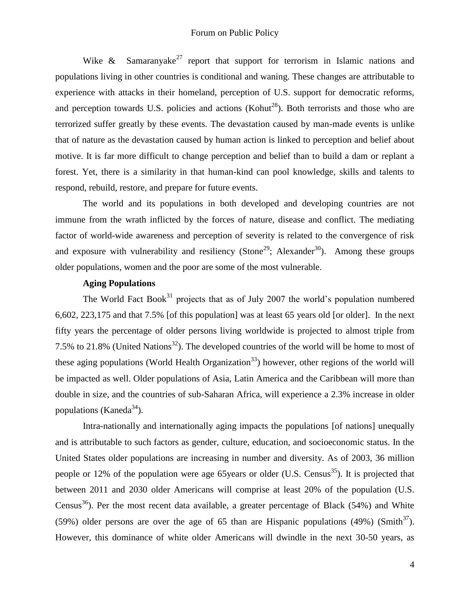#### Forum on Public Policy

Wike  $\&$  Samaranyake<sup>27</sup> report that support for terrorism in Islamic nations and populations living in other countries is conditional and waning. These changes are attributable to experience with attacks in their homeland, perception of U.S. support for democratic reforms, and perception towards U.S. policies and actions (Kohut<sup>28</sup>). Both terrorists and those who are terrorized suffer greatly by these events. The devastation caused by man-made events is unlike that of nature as the devastation caused by human action is linked to perception and belief about motive. It is far more difficult to change perception and belief than to build a dam or replant a forest. Yet, there is a similarity in that human-kind can pool knowledge, skills and talents to respond, rebuild, restore, and prepare for future events.

The world and its populations in both developed and developing countries are not immune from the wrath inflicted by the forces of nature, disease and conflict. The mediating factor of world-wide awareness and perception of severity is related to the convergence of risk and exposure with vulnerability and resiliency (Stone<sup>29</sup>; Alexander<sup>30</sup>). Among these groups older populations, women and the poor are some of the most vulnerable.

## **Aging Populations**

The World Fact Book<sup>31</sup> projects that as of July 2007 the world's population numbered 6,602, 223,175 and that 7.5% [of this population] was at least 65 years old [or older]. In the next fifty years the percentage of older persons living worldwide is projected to almost triple from 7.5% to 21.8% (United Nations<sup>32</sup>). The developed countries of the world will be home to most of these aging populations (World Health Organization<sup>33</sup>) however, other regions of the world will be impacted as well. Older populations of Asia, Latin America and the Caribbean will more than double in size, and the countries of sub-Saharan Africa, will experience a 2.3% increase in older populations (Kaneda $^{34}$ ).

Intra-nationally and internationally aging impacts the populations [of nations] unequally and is attributable to such factors as gender, culture, education, and socioeconomic status. In the United States older populations are increasing in number and diversity. As of 2003, 36 million people or 12% of the population were age 65 years or older (U.S. Census<sup>35</sup>). It is projected that between 2011 and 2030 older Americans will comprise at least 20% of the population (U.S. Census<sup>36</sup>). Per the most recent data available, a greater percentage of Black (54%) and White (59%) older persons are over the age of 65 than are Hispanic populations (49%) (Smith<sup>37</sup>). However, this dominance of white older Americans will dwindle in the next 30-50 years, as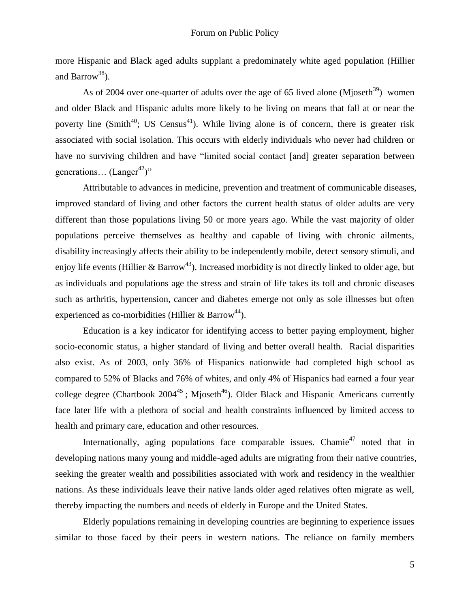more Hispanic and Black aged adults supplant a predominately white aged population (Hillier and Barrow<sup>38</sup>).

As of 2004 over one-quarter of adults over the age of 65 lived alone (Mjoseth<sup>39</sup>) women and older Black and Hispanic adults more likely to be living on means that fall at or near the poverty line (Smith<sup>40</sup>; US Census<sup>41</sup>). While living alone is of concern, there is greater risk associated with social isolation. This occurs with elderly individuals who never had children or have no surviving children and have "limited social contact [and] greater separation between generations...  $(Langer^{42})"$ 

Attributable to advances in medicine, prevention and treatment of communicable diseases, improved standard of living and other factors the current health status of older adults are very different than those populations living 50 or more years ago. While the vast majority of older populations perceive themselves as healthy and capable of living with chronic ailments, disability increasingly affects their ability to be independently mobile, detect sensory stimuli, and enjoy life events (Hillier & Barrow<sup>43</sup>). Increased morbidity is not directly linked to older age, but as individuals and populations age the stress and strain of life takes its toll and chronic diseases such as arthritis, hypertension, cancer and diabetes emerge not only as sole illnesses but often experienced as co-morbidities (Hillier  $& \text{Barrow}^{44}$ ).

Education is a key indicator for identifying access to better paying employment, higher socio-economic status, a higher standard of living and better overall health. Racial disparities also exist. As of 2003, only 36% of Hispanics nationwide had completed high school as compared to 52% of Blacks and 76% of whites, and only 4% of Hispanics had earned a four year college degree (Chartbook  $2004^{45}$ ; Mjoseth<sup>46</sup>). Older Black and Hispanic Americans currently face later life with a plethora of social and health constraints influenced by limited access to health and primary care, education and other resources.

Internationally, aging populations face comparable issues. Chamie<sup>47</sup> noted that in developing nations many young and middle-aged adults are migrating from their native countries, seeking the greater wealth and possibilities associated with work and residency in the wealthier nations. As these individuals leave their native lands older aged relatives often migrate as well, thereby impacting the numbers and needs of elderly in Europe and the United States.

Elderly populations remaining in developing countries are beginning to experience issues similar to those faced by their peers in western nations. The reliance on family members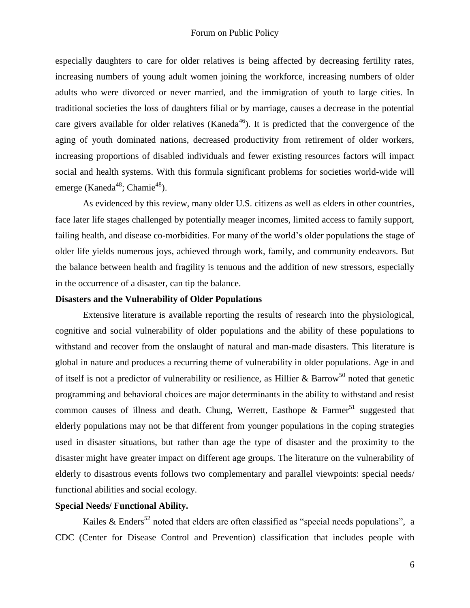especially daughters to care for older relatives is being affected by decreasing fertility rates, increasing numbers of young adult women joining the workforce, increasing numbers of older adults who were divorced or never married, and the immigration of youth to large cities. In traditional societies the loss of daughters filial or by marriage, causes a decrease in the potential care givers available for older relatives (Kaneda<sup>46</sup>). It is predicted that the convergence of the aging of youth dominated nations, decreased productivity from retirement of older workers, increasing proportions of disabled individuals and fewer existing resources factors will impact social and health systems. With this formula significant problems for societies world-wide will emerge (Kaneda<sup>48</sup>; Chamie<sup>48</sup>).

As evidenced by this review, many older U.S. citizens as well as elders in other countries, face later life stages challenged by potentially meager incomes, limited access to family support, failing health, and disease co-morbidities. For many of the world"s older populations the stage of older life yields numerous joys, achieved through work, family, and community endeavors. But the balance between health and fragility is tenuous and the addition of new stressors, especially in the occurrence of a disaster, can tip the balance.

## **Disasters and the Vulnerability of Older Populations**

Extensive literature is available reporting the results of research into the physiological, cognitive and social vulnerability of older populations and the ability of these populations to withstand and recover from the onslaught of natural and man-made disasters. This literature is global in nature and produces a recurring theme of vulnerability in older populations. Age in and of itself is not a predictor of vulnerability or resilience, as Hillier & Barrow<sup>50</sup> noted that genetic programming and behavioral choices are major determinants in the ability to withstand and resist common causes of illness and death. Chung, Werrett, Easthope  $\&$  Farmer<sup>51</sup> suggested that elderly populations may not be that different from younger populations in the coping strategies used in disaster situations, but rather than age the type of disaster and the proximity to the disaster might have greater impact on different age groups. The literature on the vulnerability of elderly to disastrous events follows two complementary and parallel viewpoints: special needs/ functional abilities and social ecology.

## **Special Needs/ Functional Ability.**

Kailes & Enders<sup>52</sup> noted that elders are often classified as "special needs populations", a CDC (Center for Disease Control and Prevention) classification that includes people with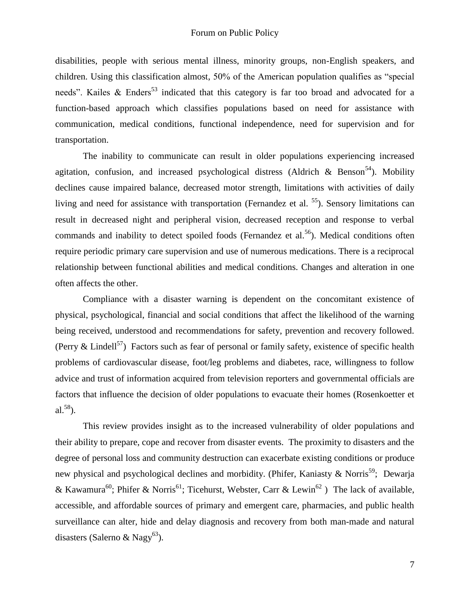disabilities, people with serious mental illness, minority groups, non-English speakers, and children. Using this classification almost, 50% of the American population qualifies as "special needs". Kailes  $\&$  Enders<sup>53</sup> indicated that this category is far too broad and advocated for a function-based approach which classifies populations based on need for assistance with communication, medical conditions, functional independence, need for supervision and for transportation.

The inability to communicate can result in older populations experiencing increased agitation, confusion, and increased psychological distress (Aldrich & Benson<sup>54</sup>). Mobility declines cause impaired balance, decreased motor strength, limitations with activities of daily living and need for assistance with transportation (Fernandez et al.  $<sup>55</sup>$ ). Sensory limitations can</sup> result in decreased night and peripheral vision, decreased reception and response to verbal commands and inability to detect spoiled foods (Fernandez et al.<sup>56</sup>). Medical conditions often require periodic primary care supervision and use of numerous medications. There is a reciprocal relationship between functional abilities and medical conditions. Changes and alteration in one often affects the other.

Compliance with a disaster warning is dependent on the concomitant existence of physical, psychological, financial and social conditions that affect the likelihood of the warning being received, understood and recommendations for safety, prevention and recovery followed. (Perry & Lindell<sup>57</sup>) Factors such as fear of personal or family safety, existence of specific health problems of cardiovascular disease, foot/leg problems and diabetes, race, willingness to follow advice and trust of information acquired from television reporters and governmental officials are factors that influence the decision of older populations to evacuate their homes (Rosenkoetter et al. $58$ ).

This review provides insight as to the increased vulnerability of older populations and their ability to prepare, cope and recover from disaster events. The proximity to disasters and the degree of personal loss and community destruction can exacerbate existing conditions or produce new physical and psychological declines and morbidity. (Phifer, Kaniasty & Norris<sup>59</sup>; Dewarja & Kawamura<sup>60</sup>; Phifer & Norris<sup>61</sup>; Ticehurst, Webster, Carr & Lewin<sup>62</sup>) The lack of available, accessible, and affordable sources of primary and emergent care, pharmacies, and public health surveillance can alter, hide and delay diagnosis and recovery from both man-made and natural disasters (Salerno & Nagy<sup>63</sup>).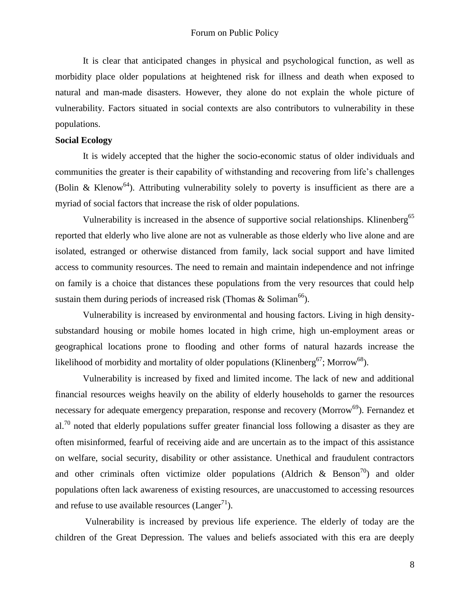It is clear that anticipated changes in physical and psychological function, as well as morbidity place older populations at heightened risk for illness and death when exposed to natural and man-made disasters. However, they alone do not explain the whole picture of vulnerability. Factors situated in social contexts are also contributors to vulnerability in these populations.

## **Social Ecology**

It is widely accepted that the higher the socio-economic status of older individuals and communities the greater is their capability of withstanding and recovering from life"s challenges (Bolin & Klenow<sup>64</sup>). Attributing vulnerability solely to poverty is insufficient as there are a myriad of social factors that increase the risk of older populations.

Vulnerability is increased in the absence of supportive social relationships. Klinenberg<sup>65</sup> reported that elderly who live alone are not as vulnerable as those elderly who live alone and are isolated, estranged or otherwise distanced from family, lack social support and have limited access to community resources. The need to remain and maintain independence and not infringe on family is a choice that distances these populations from the very resources that could help sustain them during periods of increased risk (Thomas & Soliman<sup>66</sup>).

Vulnerability is increased by environmental and housing factors. Living in high densitysubstandard housing or mobile homes located in high crime, high un-employment areas or geographical locations prone to flooding and other forms of natural hazards increase the likelihood of morbidity and mortality of older populations (Klinenberg<sup>67</sup>; Morrow<sup>68</sup>).

Vulnerability is increased by fixed and limited income. The lack of new and additional financial resources weighs heavily on the ability of elderly households to garner the resources necessary for adequate emergency preparation, response and recovery (Morrow<sup>69</sup>). Fernandez et  $a^{70}$  noted that elderly populations suffer greater financial loss following a disaster as they are often misinformed, fearful of receiving aide and are uncertain as to the impact of this assistance on welfare, social security, disability or other assistance. Unethical and fraudulent contractors and other criminals often victimize older populations (Aldrich  $\&$  Benson<sup>70</sup>) and older populations often lack awareness of existing resources, are unaccustomed to accessing resources and refuse to use available resources (Langer $^{71}$ ).

Vulnerability is increased by previous life experience. The elderly of today are the children of the Great Depression. The values and beliefs associated with this era are deeply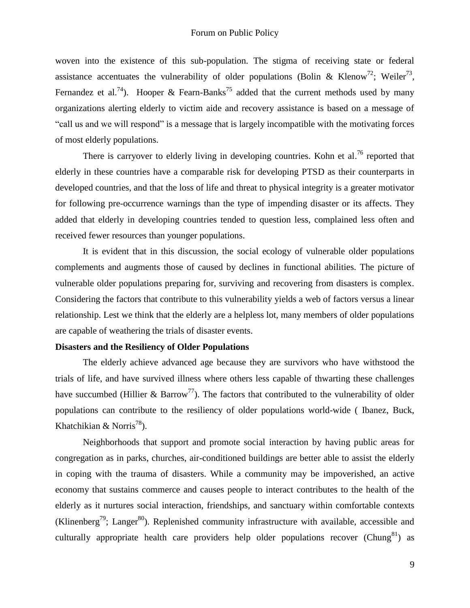woven into the existence of this sub-population. The stigma of receiving state or federal assistance accentuates the vulnerability of older populations (Bolin & Klenow<sup>72</sup>; Weiler<sup>73</sup>, Fernandez et al.<sup>74</sup>). Hooper & Fearn-Banks<sup>75</sup> added that the current methods used by many organizations alerting elderly to victim aide and recovery assistance is based on a message of "call us and we will respond" is a message that is largely incompatible with the motivating forces of most elderly populations.

There is carryover to elderly living in developing countries. Kohn et al.<sup>76</sup> reported that elderly in these countries have a comparable risk for developing PTSD as their counterparts in developed countries, and that the loss of life and threat to physical integrity is a greater motivator for following pre-occurrence warnings than the type of impending disaster or its affects. They added that elderly in developing countries tended to question less, complained less often and received fewer resources than younger populations.

It is evident that in this discussion, the social ecology of vulnerable older populations complements and augments those of caused by declines in functional abilities. The picture of vulnerable older populations preparing for, surviving and recovering from disasters is complex. Considering the factors that contribute to this vulnerability yields a web of factors versus a linear relationship. Lest we think that the elderly are a helpless lot, many members of older populations are capable of weathering the trials of disaster events.

## **Disasters and the Resiliency of Older Populations**

The elderly achieve advanced age because they are survivors who have withstood the trials of life, and have survived illness where others less capable of thwarting these challenges have succumbed (Hillier  $\&$  Barrow<sup>77</sup>). The factors that contributed to the vulnerability of older populations can contribute to the resiliency of older populations world-wide ( Ibanez, Buck, Khatchikian & Norris<sup>78</sup>).

Neighborhoods that support and promote social interaction by having public areas for congregation as in parks, churches, air-conditioned buildings are better able to assist the elderly in coping with the trauma of disasters. While a community may be impoverished, an active economy that sustains commerce and causes people to interact contributes to the health of the elderly as it nurtures social interaction, friendships, and sanctuary within comfortable contexts (Klinenberg<sup>79</sup>; Langer<sup>80</sup>). Replenished community infrastructure with available, accessible and culturally appropriate health care providers help older populations recover (Chung<sup>81</sup>) as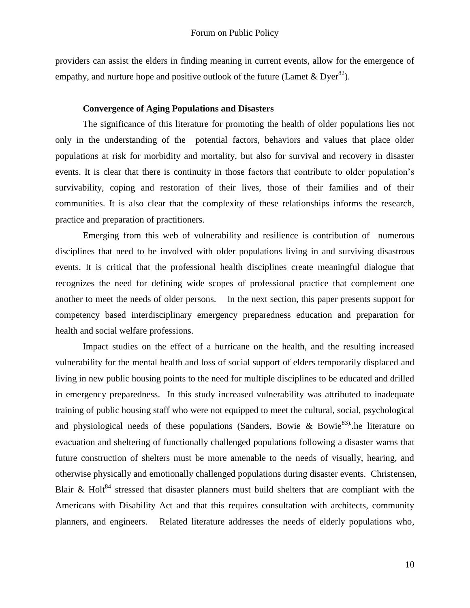providers can assist the elders in finding meaning in current events, allow for the emergence of empathy, and nurture hope and positive outlook of the future (Lamet & Dyer<sup>82</sup>).

#### **Convergence of Aging Populations and Disasters**

The significance of this literature for promoting the health of older populations lies not only in the understanding of the potential factors, behaviors and values that place older populations at risk for morbidity and mortality, but also for survival and recovery in disaster events. It is clear that there is continuity in those factors that contribute to older population"s survivability, coping and restoration of their lives, those of their families and of their communities. It is also clear that the complexity of these relationships informs the research, practice and preparation of practitioners.

Emerging from this web of vulnerability and resilience is contribution of numerous disciplines that need to be involved with older populations living in and surviving disastrous events. It is critical that the professional health disciplines create meaningful dialogue that recognizes the need for defining wide scopes of professional practice that complement one another to meet the needs of older persons. In the next section, this paper presents support for competency based interdisciplinary emergency preparedness education and preparation for health and social welfare professions.

Impact studies on the effect of a hurricane on the health, and the resulting increased vulnerability for the mental health and loss of social support of elders temporarily displaced and living in new public housing points to the need for multiple disciplines to be educated and drilled in emergency preparedness. In this study increased vulnerability was attributed to inadequate training of public housing staff who were not equipped to meet the cultural, social, psychological and physiological needs of these populations (Sanders, Bowie & Bowie<sup>83)</sup>. he literature on evacuation and sheltering of functionally challenged populations following a disaster warns that future construction of shelters must be more amenable to the needs of visually, hearing, and otherwise physically and emotionally challenged populations during disaster events. Christensen, Blair & Holt<sup>84</sup> stressed that disaster planners must build shelters that are compliant with the Americans with Disability Act and that this requires consultation with architects, community planners, and engineers. Related literature addresses the needs of elderly populations who,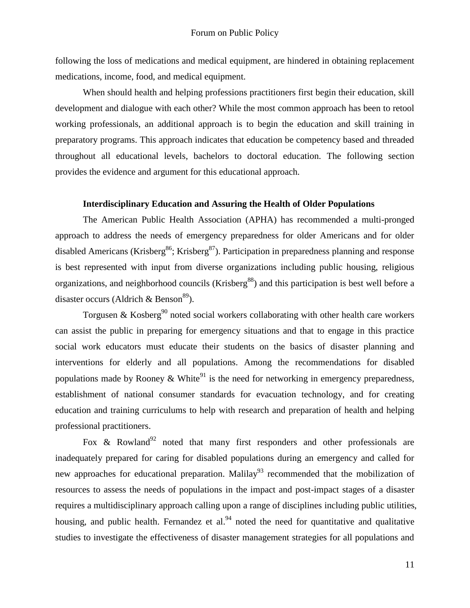following the loss of medications and medical equipment, are hindered in obtaining replacement medications, income, food, and medical equipment.

When should health and helping professions practitioners first begin their education, skill development and dialogue with each other? While the most common approach has been to retool working professionals, an additional approach is to begin the education and skill training in preparatory programs. This approach indicates that education be competency based and threaded throughout all educational levels, bachelors to doctoral education. The following section provides the evidence and argument for this educational approach.

## **Interdisciplinary Education and Assuring the Health of Older Populations**

The American Public Health Association (APHA) has recommended a multi-pronged approach to address the needs of emergency preparedness for older Americans and for older disabled Americans (Krisberg<sup>86</sup>; Krisberg<sup>87</sup>). Participation in preparedness planning and response is best represented with input from diverse organizations including public housing, religious organizations, and neighborhood councils (Krisberg<sup>88</sup>) and this participation is best well before a disaster occurs (Aldrich & Benson<sup>89</sup>).

Torgusen & Kosberg<sup>90</sup> noted social workers collaborating with other health care workers can assist the public in preparing for emergency situations and that to engage in this practice social work educators must educate their students on the basics of disaster planning and interventions for elderly and all populations. Among the recommendations for disabled populations made by Rooney & White<sup>91</sup> is the need for networking in emergency preparedness, establishment of national consumer standards for evacuation technology, and for creating education and training curriculums to help with research and preparation of health and helping professional practitioners.

Fox & Rowland<sup>92</sup> noted that many first responders and other professionals are inadequately prepared for caring for disabled populations during an emergency and called for new approaches for educational preparation. Malilay<sup>93</sup> recommended that the mobilization of resources to assess the needs of populations in the impact and post-impact stages of a disaster requires a multidisciplinary approach calling upon a range of disciplines including public utilities, housing, and public health. Fernandez et al. $94$  noted the need for quantitative and qualitative studies to investigate the effectiveness of disaster management strategies for all populations and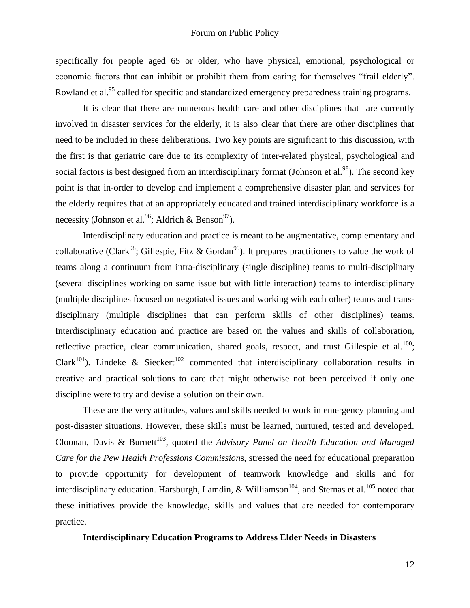specifically for people aged 65 or older, who have physical, emotional, psychological or economic factors that can inhibit or prohibit them from caring for themselves "frail elderly". Rowland et al.<sup>95</sup> called for specific and standardized emergency preparedness training programs.

It is clear that there are numerous health care and other disciplines that are currently involved in disaster services for the elderly, it is also clear that there are other disciplines that need to be included in these deliberations. Two key points are significant to this discussion, with the first is that geriatric care due to its complexity of inter-related physical, psychological and social factors is best designed from an interdisciplinary format (Johnson et al.<sup>98</sup>). The second key point is that in-order to develop and implement a comprehensive disaster plan and services for the elderly requires that at an appropriately educated and trained interdisciplinary workforce is a necessity (Johnson et al.<sup>96</sup>; Aldrich & Benson<sup>97</sup>).

Interdisciplinary education and practice is meant to be augmentative, complementary and collaborative (Clark<sup>98</sup>; Gillespie, Fitz & Gordan<sup>99</sup>). It prepares practitioners to value the work of teams along a continuum from intra-disciplinary (single discipline) teams to multi-disciplinary (several disciplines working on same issue but with little interaction) teams to interdisciplinary (multiple disciplines focused on negotiated issues and working with each other) teams and transdisciplinary (multiple disciplines that can perform skills of other disciplines) teams. Interdisciplinary education and practice are based on the values and skills of collaboration, reflective practice, clear communication, shared goals, respect, and trust Gillespie et al.<sup>100</sup>; Clark<sup>101</sup>). Lindeke & Sieckert<sup>102</sup> commented that interdisciplinary collaboration results in creative and practical solutions to care that might otherwise not been perceived if only one discipline were to try and devise a solution on their own.

These are the very attitudes, values and skills needed to work in emergency planning and post-disaster situations. However, these skills must be learned, nurtured, tested and developed. Cloonan, Davis & Burnett<sup>103</sup>, quoted the *Advisory Panel on Health Education and Managed Care for the Pew Health Professions Commission*s, stressed the need for educational preparation to provide opportunity for development of teamwork knowledge and skills and for interdisciplinary education. Harsburgh, Lamdin, & Williamson<sup>104</sup>, and Sternas et al.<sup>105</sup> noted that these initiatives provide the knowledge, skills and values that are needed for contemporary practice.

## **Interdisciplinary Education Programs to Address Elder Needs in Disasters**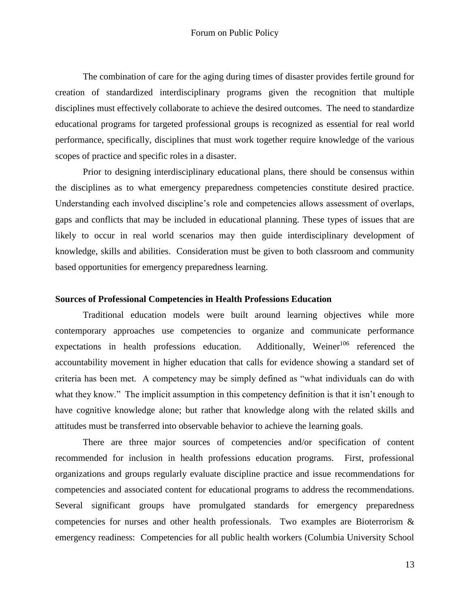The combination of care for the aging during times of disaster provides fertile ground for creation of standardized interdisciplinary programs given the recognition that multiple disciplines must effectively collaborate to achieve the desired outcomes. The need to standardize educational programs for targeted professional groups is recognized as essential for real world performance, specifically, disciplines that must work together require knowledge of the various scopes of practice and specific roles in a disaster.

Prior to designing interdisciplinary educational plans, there should be consensus within the disciplines as to what emergency preparedness competencies constitute desired practice. Understanding each involved discipline"s role and competencies allows assessment of overlaps, gaps and conflicts that may be included in educational planning. These types of issues that are likely to occur in real world scenarios may then guide interdisciplinary development of knowledge, skills and abilities. Consideration must be given to both classroom and community based opportunities for emergency preparedness learning.

## **Sources of Professional Competencies in Health Professions Education**

Traditional education models were built around learning objectives while more contemporary approaches use competencies to organize and communicate performance expectations in health professions education. Additionally, Weiner<sup>106</sup> referenced the accountability movement in higher education that calls for evidence showing a standard set of criteria has been met. A competency may be simply defined as "what individuals can do with what they know." The implicit assumption in this competency definition is that it isn't enough to have cognitive knowledge alone; but rather that knowledge along with the related skills and attitudes must be transferred into observable behavior to achieve the learning goals.

There are three major sources of competencies and/or specification of content recommended for inclusion in health professions education programs. First, professional organizations and groups regularly evaluate discipline practice and issue recommendations for competencies and associated content for educational programs to address the recommendations. Several significant groups have promulgated standards for emergency preparedness competencies for nurses and other health professionals. Two examples are Bioterrorism & emergency readiness: Competencies for all public health workers (Columbia University School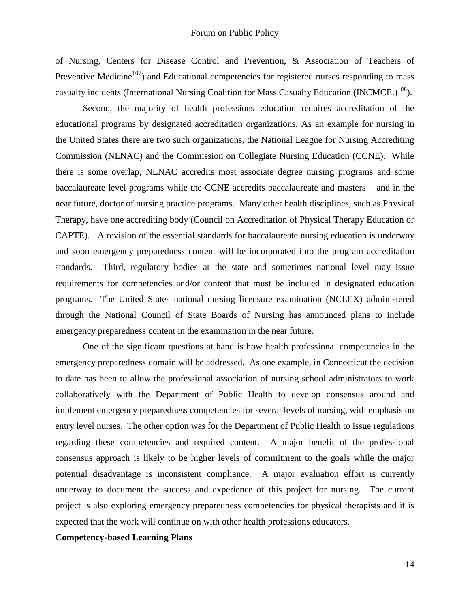of Nursing, Centers for Disease Control and Prevention, & Association of Teachers of Preventive Medicine<sup>107</sup>) and Educational competencies for registered nurses responding to mass casualty incidents (International Nursing Coalition for Mass Casualty Education (INCMCE.)<sup>108</sup>).

Second, the majority of health professions education requires accreditation of the educational programs by designated accreditation organizations. As an example for nursing in the United States there are two such organizations, the National League for Nursing Accrediting Commission (NLNAC) and the Commission on Collegiate Nursing Education (CCNE). While there is some overlap, NLNAC accredits most associate degree nursing programs and some baccalaureate level programs while the CCNE accredits baccalaureate and masters – and in the near future, doctor of nursing practice programs. Many other health disciplines, such as Physical Therapy, have one accrediting body (Council on Accreditation of Physical Therapy Education or CAPTE). A revision of the essential standards for baccalaureate nursing education is underway and soon emergency preparedness content will be incorporated into the program accreditation standards. Third, regulatory bodies at the state and sometimes national level may issue requirements for competencies and/or content that must be included in designated education programs. The United States national nursing licensure examination (NCLEX) administered through the National Council of State Boards of Nursing has announced plans to include emergency preparedness content in the examination in the near future.

One of the significant questions at hand is how health professional competencies in the emergency preparedness domain will be addressed. As one example, in Connecticut the decision to date has been to allow the professional association of nursing school administrators to work collaboratively with the Department of Public Health to develop consensus around and implement emergency preparedness competencies for several levels of nursing, with emphasis on entry level nurses. The other option was for the Department of Public Health to issue regulations regarding these competencies and required content. A major benefit of the professional consensus approach is likely to be higher levels of commitment to the goals while the major potential disadvantage is inconsistent compliance. A major evaluation effort is currently underway to document the success and experience of this project for nursing. The current project is also exploring emergency preparedness competencies for physical therapists and it is expected that the work will continue on with other health professions educators.

## **Competency-based Learning Plans**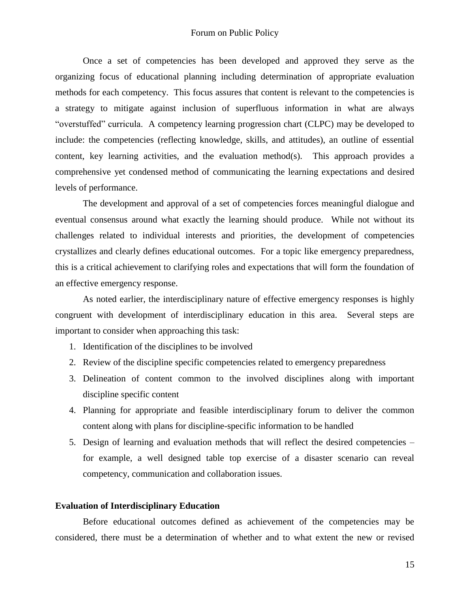#### Forum on Public Policy

Once a set of competencies has been developed and approved they serve as the organizing focus of educational planning including determination of appropriate evaluation methods for each competency. This focus assures that content is relevant to the competencies is a strategy to mitigate against inclusion of superfluous information in what are always "overstuffed" curricula. A competency learning progression chart (CLPC) may be developed to include: the competencies (reflecting knowledge, skills, and attitudes), an outline of essential content, key learning activities, and the evaluation method(s). This approach provides a comprehensive yet condensed method of communicating the learning expectations and desired levels of performance.

The development and approval of a set of competencies forces meaningful dialogue and eventual consensus around what exactly the learning should produce. While not without its challenges related to individual interests and priorities, the development of competencies crystallizes and clearly defines educational outcomes. For a topic like emergency preparedness, this is a critical achievement to clarifying roles and expectations that will form the foundation of an effective emergency response.

As noted earlier, the interdisciplinary nature of effective emergency responses is highly congruent with development of interdisciplinary education in this area. Several steps are important to consider when approaching this task:

- 1. Identification of the disciplines to be involved
- 2. Review of the discipline specific competencies related to emergency preparedness
- 3. Delineation of content common to the involved disciplines along with important discipline specific content
- 4. Planning for appropriate and feasible interdisciplinary forum to deliver the common content along with plans for discipline-specific information to be handled
- 5. Design of learning and evaluation methods that will reflect the desired competencies for example, a well designed table top exercise of a disaster scenario can reveal competency, communication and collaboration issues.

#### **Evaluation of Interdisciplinary Education**

Before educational outcomes defined as achievement of the competencies may be considered, there must be a determination of whether and to what extent the new or revised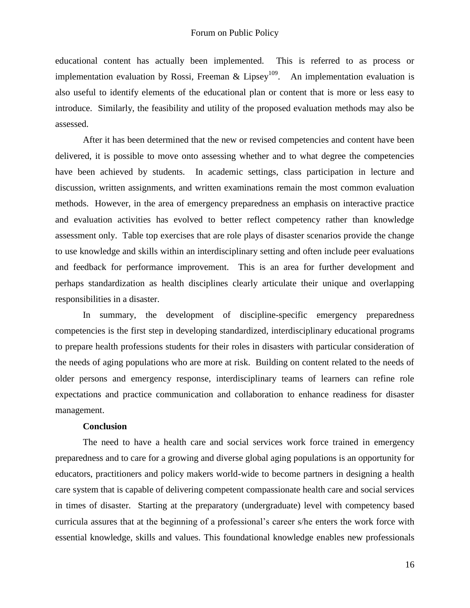educational content has actually been implemented. This is referred to as process or implementation evaluation by Rossi, Freeman & Lipsey<sup>109</sup>. An implementation evaluation is also useful to identify elements of the educational plan or content that is more or less easy to introduce. Similarly, the feasibility and utility of the proposed evaluation methods may also be assessed.

After it has been determined that the new or revised competencies and content have been delivered, it is possible to move onto assessing whether and to what degree the competencies have been achieved by students. In academic settings, class participation in lecture and discussion, written assignments, and written examinations remain the most common evaluation methods. However, in the area of emergency preparedness an emphasis on interactive practice and evaluation activities has evolved to better reflect competency rather than knowledge assessment only. Table top exercises that are role plays of disaster scenarios provide the change to use knowledge and skills within an interdisciplinary setting and often include peer evaluations and feedback for performance improvement. This is an area for further development and perhaps standardization as health disciplines clearly articulate their unique and overlapping responsibilities in a disaster.

In summary, the development of discipline-specific emergency preparedness competencies is the first step in developing standardized, interdisciplinary educational programs to prepare health professions students for their roles in disasters with particular consideration of the needs of aging populations who are more at risk. Building on content related to the needs of older persons and emergency response, interdisciplinary teams of learners can refine role expectations and practice communication and collaboration to enhance readiness for disaster management.

## **Conclusion**

The need to have a health care and social services work force trained in emergency preparedness and to care for a growing and diverse global aging populations is an opportunity for educators, practitioners and policy makers world-wide to become partners in designing a health care system that is capable of delivering competent compassionate health care and social services in times of disaster. Starting at the preparatory (undergraduate) level with competency based curricula assures that at the beginning of a professional"s career s/he enters the work force with essential knowledge, skills and values. This foundational knowledge enables new professionals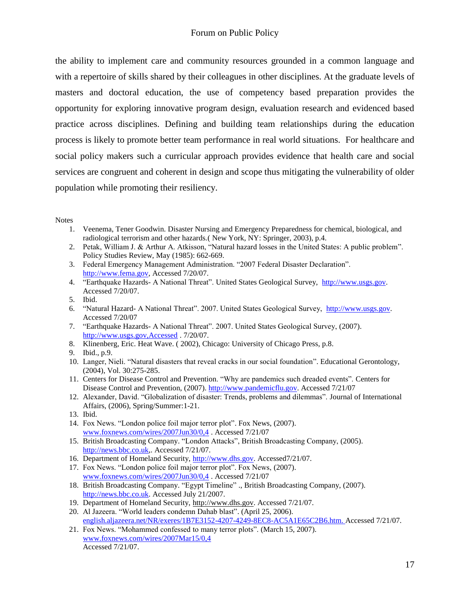the ability to implement care and community resources grounded in a common language and with a repertoire of skills shared by their colleagues in other disciplines. At the graduate levels of masters and doctoral education, the use of competency based preparation provides the opportunity for exploring innovative program design, evaluation research and evidenced based practice across disciplines. Defining and building team relationships during the education process is likely to promote better team performance in real world situations. For healthcare and social policy makers such a curricular approach provides evidence that health care and social services are congruent and coherent in design and scope thus mitigating the vulnerability of older population while promoting their resiliency.

#### Notes

- 1. Veenema, Tener Goodwin. Disaster Nursing and Emergency Preparedness for chemical, biological, and radiological terrorism and other hazards.( New York, NY: Springer, 2003), p.4.
- 2. Petak, William J. & Arthur A. Atkisson, "Natural hazard losses in the United States: A public problem". Policy Studies Review, May (1985): 662-669.
- 3. Federal Emergency Management Administration. "2007 Federal Disaster Declaration". [http://www.fema.gov,](http://www.fema.gov/) Accessed 7/20/07.
- 4. "Earthquake Hazards- A National Threat". United States Geological Survey, [http://www.usgs.gov.](http://www.usgs.gov/) Accessed 7/20/07.
- 5. Ibid.
- 6. "Natural Hazard- A National Threat". 2007. United States Geological Survey, [http://www.usgs.gov.](http://www.usgs.gov/) Accessed 7/20/07
- 7. "Earthquake Hazards- A National Threat". 2007. United States Geological Survey, (2007). [http://www.usgs.gov,Accessed](http://www.usgs.gov,accessed/) . 7/20/07.
- 8. Klinenberg, Eric. Heat Wave. ( 2002), Chicago: University of Chicago Press, p.8.
- 9. Ibid., p.9.
- 10. Langer, Nieli. "Natural disasters that reveal cracks in our social foundation". Educational Gerontology, (2004), Vol. 30:275-285.
- 11. Centers for Disease Control and Prevention. "Why are pandemics such dreaded events". Centers for Disease Control and Prevention, (2007)[. http://www.pandemicflu.gov.](http://www.pandemicflu.gov/) Accessed 7/21/07
- 12. Alexander, David. "Globalization of disaster: Trends, problems and dilemmas". Journal of International Affairs, (2006), Spring/Summer:1-21.
- 13. Ibid.
- 14. Fox News. "London police foil major terror plot". Fox News, (2007). [www.foxnews.com/wires/2007Jun30/0,4](http://www.foxnews.com/wires/2007Jun30/0,4) . Accessed 7/21/07
- 15. British Broadcasting Company. "London Attacks", British Broadcasting Company, (2005). [http://news.bbc.co.uk,](http://news.bbc.co.uk/). Accessed 7/21/07.
- 16. Department of Homeland Security, [http://www.dhs.gov.](http://www.dhs.gov/) Accessed7/21/07.
- 17. Fox News. "London police foil major terror plot". Fox News, (2007). [www.foxnews.com/wires/2007Jun30/0,4](http://www.foxnews.com/wires/2007Jun30/0,4) . Accessed 7/21/07
- 18. British Broadcasting Company. "Egypt Timeline" ., British Broadcasting Company, (2007). [http://news.bbc.co.uk.](http://news.bbc.co.uk/) Accessed July 21/2007.
- 19. Department of Homeland Security, [http://www.dhs.gov.](http://www.dhs.gov/) Accessed 7/21/07.
- 20. Al Jazeera. "World leaders condemn Dahab blast". (April 25, 2006). english.aljazeera.net/NR/exeres/1B7E3152-4207-4249-8EC8-AC5A1E65C2B6.htm. Accessed 7/21/07.
- 21. Fox News. "Mohammed confessed to many terror plots". (March 15, 2007). www.foxnews.com/wires/2007Mar15/0,4 Accessed 7/21/07.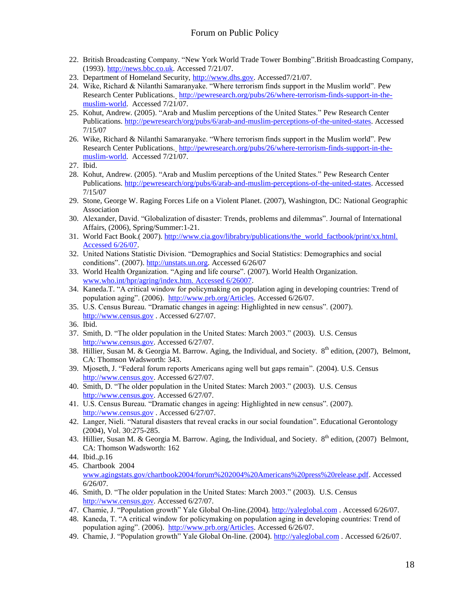- 22. British Broadcasting Company. "New York World Trade Tower Bombing".British Broadcasting Company, (1993)[. http://news.bbc.co.uk.](http://news.bbc.co.uk/) Accessed 7/21/07.
- 23. Department of Homeland Security, [http://www.dhs.gov.](http://www.dhs.gov/) Accessed7/21/07.
- 24. Wike, Richard & Nilanthi Samaranyake. "Where terrorism finds support in the Muslim world". Pew Research Center Publications. [http://pewresearch.org/pubs/26/where-terrorism-finds-support-in-the](http://pewresearch.org/pubs/26/where-terrorism-finds-support-in-the-muslim-world)[muslim-world.](http://pewresearch.org/pubs/26/where-terrorism-finds-support-in-the-muslim-world) Accessed 7/21/07.
- 25. Kohut, Andrew. (2005). "Arab and Muslim perceptions of the United States." Pew Research Center Publications. [http://pewresearch/org/pubs/6/arab-and-muslim-perceptions-of-the-united-states.](http://pewresearch/org/pubs/6/arab-and-muslim-perceptions-of-the-united-states) Accessed 7/15/07
- 26. Wike, Richard & Nilanthi Samaranyake. "Where terrorism finds support in the Muslim world". Pew Research Center Publications. [http://pewresearch.org/pubs/26/where-terrorism-finds-support-in-the](http://pewresearch.org/pubs/26/where-terrorism-finds-support-in-the-muslim-world)[muslim-world.](http://pewresearch.org/pubs/26/where-terrorism-finds-support-in-the-muslim-world) Accessed 7/21/07.
- 27. Ibid.
- 28. Kohut, Andrew. (2005). "Arab and Muslim perceptions of the United States." Pew Research Center Publications. [http://pewresearch/org/pubs/6/arab-and-muslim-perceptions-of-the-united-states.](http://pewresearch/org/pubs/6/arab-and-muslim-perceptions-of-the-united-states) Accessed 7/15/07
- 29. Stone, George W. Raging Forces Life on a Violent Planet. (2007), Washington, DC: National Geographic Association
- 30. Alexander, David. "Globalization of disaster: Trends, problems and dilemmas". Journal of International Affairs, (2006), Spring/Summer:1-21.
- 31. World Fact Book.( 2007). [http://www.cia.gov/librabry/publications/the\\_world\\_factbook/print/xx.html.](http://www.cia.gov/librabry/publications/the_world_factbook/print/xx.html.%20Accessed%206/26/07)  [Accessed 6/26/07.](http://www.cia.gov/librabry/publications/the_world_factbook/print/xx.html.%20Accessed%206/26/07)
- 32. United Nations Statistic Division. "Demographics and Social Statistics: Demographics and social conditions". (2007). [http://unstats.un.org.](http://unstats.un.org/) Accessed 6/26/07
- 33. World Health Organization. "Aging and life course". (2007). World Health Organization. [www.who.int/hpr/agring/index.htm. Accessed 6/26007.](http://www.who.int/hpr/agring/index.htm.%20Accessed%206/26007)
- 34. Kaneda.T. "A critical window for policymaking on population aging in developing countries: Trend of population aging". (2006). [http://www.prb.org/Articles.](http://www.prb.org/Articles) Accessed 6/26/07.
- 35. U.S. Census Bureau. "Dramatic changes in ageing: Highlighted in new census". (2007). [http://www.census.gov](http://www.census.gov/) . Accessed 6/27/07.
- 36. Ibid.
- 37. Smith, D. "The older population in the United States: March 2003." (2003). U.S. Census [http://www.census.gov.](http://www.census.gov/) Accessed 6/27/07.
- 38. Hillier, Susan M. & Georgia M. Barrow. Aging, the Individual, and Society. 8<sup>th</sup> edition, (2007), Belmont, CA: Thomson Wadsworth: 343.
- 39. Mjoseth, J. "Federal forum reports Americans aging well but gaps remain". (2004). U.S. Census [http://www.census.gov.](http://www.census.gov/) Accessed 6/27/07.
- 40. Smith, D. "The older population in the United States: March 2003." (2003). U.S. Census [http://www.census.gov.](http://www.census.gov/) Accessed 6/27/07.
- 41. U.S. Census Bureau. "Dramatic changes in ageing: Highlighted in new census". (2007). [http://www.census.gov](http://www.census.gov/) . Accessed 6/27/07.
- 42. Langer, Nieli. "Natural disasters that reveal cracks in our social foundation". Educational Gerontology (2004), Vol. 30:275-285.
- 43. Hillier, Susan M. & Georgia M. Barrow. Aging, the Individual, and Society. 8<sup>th</sup> edition, (2007) Belmont. CA: Thomson Wadsworth: 162
- 44. Ibid.,p.16
- 45. Chartbook 2004 [www.agingstats.gov/chartbook2004/forum%202004%20Americans%20press%20release.pdf.](http://www.agingstats.gov/chartbook2004/forum%202004%20Americans%20press%20release.pdf) Accessed 6/26/07.
- 46. Smith, D. "The older population in the United States: March 2003." (2003). U.S. Census [http://www.census.gov.](http://www.census.gov/) Accessed 6/27/07.
- 47. Chamie, J. "Population growth" Yale Global On-line.(2004). [http://yaleglobal.com](http://yaleglobal.com/) . Accessed 6/26/07.
- 48. Kaneda, T. "A critical window for policymaking on population aging in developing countries: Trend of population aging". (2006). [http://www.prb.org/Articles.](http://www.prb.org/Articles) Accessed 6/26/07.
- 49. Chamie, J. "Population growth" Yale Global On-line. (2004). [http://yaleglobal.com](http://yaleglobal.com/). Accessed 6/26/07.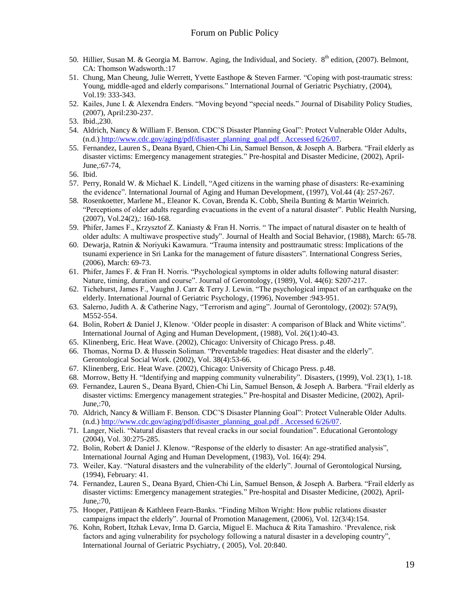- 50. Hillier, Susan M. & Georgia M. Barrow. Aging, the Individual, and Society. 8<sup>th</sup> edition, (2007). Belmont, CA: Thomson Wadsworth.:17
- 51. Chung, Man Cheung, Julie Werrett, Yvette Easthope & Steven Farmer. "Coping with post-traumatic stress: Young, middle-aged and elderly comparisons." International Journal of Geriatric Psychiatry, (2004), Vol.19: 333-343.
- 52. Kailes, June I. & Alexendra Enders. "Moving beyond "special needs." Journal of Disability Policy Studies, (2007), April:230-237.
- 53. Ibid.,230.
- 54. Aldrich, Nancy & William F. Benson. CDC"S Disaster Planning Goal": Protect Vulnerable Older Adults, (n.d.) [http://www.cdc.gov/aging/pdf/disaster\\_planning\\_goal.pdf . Accessed 6/26/07.](http://www.cdc.gov/aging/pdf/disaster_planning_goal.pdf%20.%20Accessed%206/26/07)
- 55. Fernandez, Lauren S., Deana Byard, Chien-Chi Lin, Samuel Benson, & Joseph A. Barbera. "Frail elderly as disaster victims: Emergency management strategies." Pre-hospital and Disaster Medicine, (2002), April-June,:67-74,
- 56. Ibid.
- 57. Perry, Ronald W. & Michael K. Lindell, "Aged citizens in the warning phase of disasters: Re-examining the evidence". International Journal of Aging and Human Development, (1997), Vol.44 (4): 257-267.
- 58. Rosenkoetter, Marlene M., Eleanor K. Covan, Brenda K. Cobb, Sheila Bunting & Martin Weinrich. "Perceptions of older adults regarding evacuations in the event of a natural disaster". Public Health Nursing, (2007), Vol.24(2),: 160-168.
- 59. Phifer, James F., Krzysztof Z. Kaniasty & Fran H. Norris. " The impact of natural disaster on te health of older adults: A multiwave prospective study". Journal of Health and Social Behavior, (1988), March: 65-78.
- 60. Dewarja, Ratnin & Noriyuki Kawamura. "Trauma intensity and posttraumatic stress: Implications of the tsunami experience in Sri Lanka for the management of future disasters". International Congress Series, (2006), March: 69-73.
- 61. Phifer, James F. & Fran H. Norris. "Psychological symptoms in older adults following natural disaster: Nature, timing, duration and course". Journal of Gerontology, (1989), Vol. 44(6): S207-217.
- 62. Tichehurst, James F., Vaughn J. Carr & Terry J. Lewin. "The psychological impact of an earthquake on the elderly. International Journal of Geriatric Psychology, (1996), November :943-951.
- 63. Salerno, Judith A. & Catherine Nagy, "Terrorism and aging". Journal of Gerontology, (2002): 57A(9), M552-554.
- 64. Bolin, Robert & Daniel J, Klenow. "Older people in disaster: A comparison of Black and White victims". International Journal of Aging and Human Development, (1988), Vol. 26(1):40-43.
- 65. Klinenberg, Eric. Heat Wave. (2002), Chicago: University of Chicago Press. p.48.
- 66. Thomas, Norma D. & Hussein Soliman. "Preventable tragedies: Heat disaster and the elderly". Gerontological Social Work. (2002), Vol. 38(4):53-66.
- 67. Klinenberg, Eric. Heat Wave. (2002), Chicago: University of Chicago Press. p.48.
- 68. Morrow, Betty H. "Identifying and mapping community vulnerability". Disasters, (1999), Vol. 23(1), 1-18.
- 69. Fernandez, Lauren S., Deana Byard, Chien-Chi Lin, Samuel Benson, & Joseph A. Barbera. "Frail elderly as disaster victims: Emergency management strategies." Pre-hospital and Disaster Medicine, (2002), April-June,:70,
- 70. Aldrich, Nancy & William F. Benson. CDC"S Disaster Planning Goal": Protect Vulnerable Older Adults. (n.d.) [http://www.cdc.gov/aging/pdf/disaster\\_planning\\_goal.pdf . Accessed 6/26/07.](http://www.cdc.gov/aging/pdf/disaster_planning_goal.pdf%20.%20Accessed%206/26/07)
- 71. Langer, Nieli. "Natural disasters that reveal cracks in our social foundation". Educational Gerontology (2004), Vol. 30:275-285.
- 72. Bolin, Robert & Daniel J. Klenow. "Response of the elderly to disaster: An age-stratified analysis", International Journal Aging and Human Development, (1983), Vol. 16(4): 294.
- 73. Weiler, Kay. "Natural disasters and the vulnerability of the elderly". Journal of Gerontological Nursing, (1994), February: 41.
- 74. Fernandez, Lauren S., Deana Byard, Chien-Chi Lin, Samuel Benson, & Joseph A. Barbera. "Frail elderly as disaster victims: Emergency management strategies." Pre-hospital and Disaster Medicine, (2002), April-June,:70,
- 75. Hooper, Pattijean & Kathleen Fearn-Banks. "Finding Milton Wright: How public relations disaster campaigns impact the elderly". Journal of Promotion Management, (2006), Vol. 12(3/4):154.
- 76. Kohn, Robert, Itzhak Levav, Irma D. Garcia, Miguel E. Machuca & Rita Tamashiro. "Prevalence, risk factors and aging vulnerability for psychology following a natural disaster in a developing country", International Journal of Geriatric Psychiatry, ( 2005), Vol. 20:840.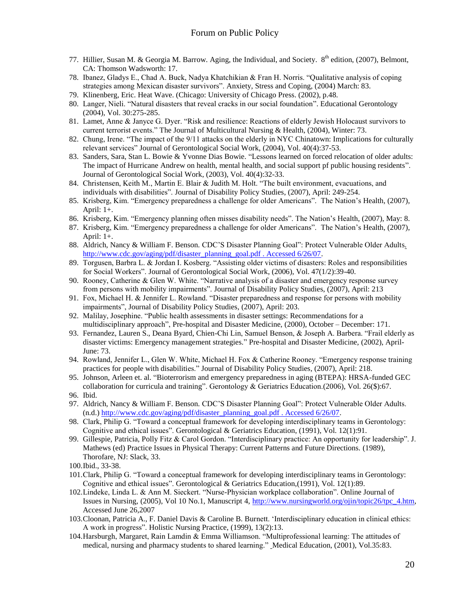- 77. Hillier, Susan M. & Georgia M. Barrow. Aging, the Individual, and Society. 8<sup>th</sup> edition, (2007), Belmont, CA: Thomson Wadsworth: 17.
- 78. Ibanez, Gladys E., Chad A. Buck, Nadya Khatchikian & Fran H. Norris. "Qualitative analysis of coping strategies among Mexican disaster survivors". Anxiety, Stress and Coping, (2004) March: 83.
- 79. Klinenberg, Eric. Heat Wave. (Chicago: University of Chicago Press. (2002), p.48.
- 80. Langer, Nieli. "Natural disasters that reveal cracks in our social foundation". Educational Gerontology (2004), Vol. 30:275-285.
- 81. Lamet, Anne & Janyce G. Dyer. "Risk and resilience: Reactions of elderly Jewish Holocaust survivors to current terrorist events." The Journal of Multicultural Nursing & Health, (2004), Winter: 73.
- 82. Chung, Irene. "The impact of the 9/11 attacks on the elderly in NYC Chinatown: Implications for culturally relevant services" Journal of Gerontological Social Work, (2004), Vol. 40(4):37-53.
- 83. Sanders, Sara, Stan L. Bowie & Yvonne Dias Bowie. "Lessons learned on forced relocation of older adults: The impact of Hurricane Andrew on health, mental health, and social support pf public housing residents". Journal of Gerontological Social Work, (2003), Vol. 40(4):32-33.
- 84. Christensen, Keith M., Martin E. Blair & Judith M. Holt. "The built environment, evacuations, and individuals with disabilities". Journal of Disability Policy Studies, (2007), April: 249-254.
- 85. Krisberg, Kim. "Emergency preparedness a challenge for older Americans". The Nation"s Health, (2007), April: 1+.
- 86. Krisberg, Kim. "Emergency planning often misses disability needs". The Nation"s Health, (2007), May: 8.
- 87. Krisberg, Kim. "Emergency preparedness a challenge for older Americans". The Nation"s Health, (2007), April: 1+.
- 88. Aldrich, Nancy & William F. Benson. CDC"S Disaster Planning Goal": Protect Vulnerable Older Adults. [http://www.cdc.gov/aging/pdf/disaster\\_planning\\_goal.pdf . Accessed 6/26/07.](http://www.cdc.gov/aging/pdf/disaster_planning_goal.pdf%20.%20Accessed%206/26/07)
- 89. Torgusen, Barbra L. & Jordan I. Kosberg. "Assisting older victims of disasters: Roles and responsibilities for Social Workers". Journal of Gerontological Social Work, (2006), Vol. 47(1/2):39-40.
- 90. Rooney, Catherine & Glen W. White. "Narrative analysis of a disaster and emergency response survey from persons with mobility impairments". Journal of Disability Policy Studies, (2007), April: 213
- 91. Fox, Michael H. & Jennifer L. Rowland. "Disaster preparedness and response for persons with mobility impairments", Journal of Disability Policy Studies, (2007), April: 203.
- 92. Malilay, Josephine. "Public health assessments in disaster settings: Recommendations for a multidisciplinary approach", Pre-hospital and Disaster Medicine, (2000), October – December: 171.
- 93. Fernandez, Lauren S., Deana Byard, Chien-Chi Lin, Samuel Benson, & Joseph A. Barbera. "Frail elderly as disaster victims: Emergency management strategies." Pre-hospital and Disaster Medicine, (2002), April-June: 73.
- 94. Rowland, Jennifer L., Glen W. White, Michael H. Fox & Catherine Rooney. "Emergency response training practices for people with disabilities." Journal of Disability Policy Studies, (2007), April: 218.
- 95. Johnson, Arleen et. al. "Bioterrorism and emergency preparedness in aging (BTEPA): HRSA-funded GEC collaboration for curricula and training". Gerontology & Geriatrics Education.(2006), Vol. 26(\$):67.
- 96. Ibid.
- 97. Aldrich, Nancy & William F. Benson. CDC"S Disaster Planning Goal": Protect Vulnerable Older Adults. (n.d.) [http://www.cdc.gov/aging/pdf/disaster\\_planning\\_goal.pdf . Accessed 6/26/07.](http://www.cdc.gov/aging/pdf/disaster_planning_goal.pdf%20.%20Accessed%206/26/07)
- 98. Clark, Philip G. "Toward a conceptual framework for developing interdisciplinary teams in Gerontology: Cognitive and ethical issues". Gerontological & Geriatrics Education, (1991), Vol. 12(1):91.
- 99. Gillespie, Patricia, Polly Fitz & Carol Gordon. "Interdisciplinary practice: An opportunity for leadership". J. Mathews (ed) Practice Issues in Physical Therapy: Current Patterns and Future Directions. (1989), Thorofare, NJ: Slack, 33.
- 100.Ibid., 33-38.
- 101.Clark, Philip G. "Toward a conceptual framework for developing interdisciplinary teams in Gerontology: Cognitive and ethical issues". Gerontological & Geriatrics Education,(1991), Vol. 12(1):89.
- 102.Lindeke, Linda L. & Ann M. Sieckert. "Nurse-Physician workplace collaboration". Online Journal of Issues in Nursing, (2005), Vol 10 No.1, Manuscript 4, [http://www.nursingworld.org/ojin/topic26/tpc\\_4.htm,](http://www.nursingworld.org/ojin/topic26/tpc_4.htm) Accessed June 26,2007
- 103.Cloonan, Patricia A., F. Daniel Davis & Caroline B. Burnett. "Interdisciplinary education in clinical ethics: A work in progress". Holistic Nursing Practice, (1999), 13(2):13.
- 104.Harsburgh, Margaret, Rain Lamdin & Emma Williamson. "Multiprofessional learning: The attitudes of medical, nursing and pharmacy students to shared learning." Medical Education, (2001), Vol.35:83.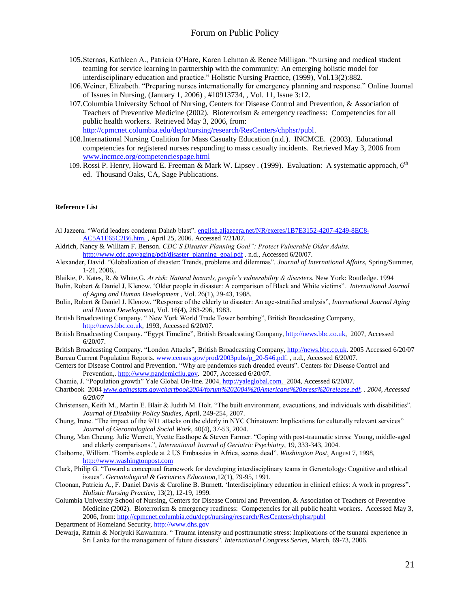- 105.Sternas, Kathleen A., Patricia O"Hare, Karen Lehman & Renee Milligan. "Nursing and medical student teaming for service learning in partnership with the community: An emerging holistic model for interdisciplinary education and practice." Holistic Nursing Practice, (1999), Vol.13(2):882.
- 106.Weiner, Elizabeth. "Preparing nurses internationally for emergency planning and response." Online Journal of Issues in Nursing, (January 1, 2006) , #10913734, , Vol. 11, Issue 3:12.
- 107.Columbia University School of Nursing, Centers for Disease Control and Prevention, & Association of Teachers of Preventive Medicine (2002). Bioterrorism & emergency readiness: Competencies for all public health workers. Retrieved May 3, 2006, from: [http://cpmcnet.columbia.edu/dept/nursing/research/ResCenters/chphsr/publ.](http://cpmcnet.columbia.edu/dept/nursing/research/ResCenters/chphsr/publ)
- 108.International Nursing Coalition for Mass Casualty Education (n.d.). INCMCE. (2003). Educational competencies for registered nurses responding to mass casualty incidents. Retrieved May 3, 2006 from [www.incmce.org/competenciespage.html](http://www.incmce.org/competenciespage.html)
- 109. Rossi P. Henry, Howard E. Freeman & Mark W. Lipsey . (1999). Evaluation: A systematic approach, 6<sup>th</sup> ed. Thousand Oaks, CA, Sage Publications.

#### **Reference List**

- Al Jazeera. "World leaders condemn Dahab blast". english.aljazeera.net/NR/exeres/1B7E3152-4207-4249-8EC8- AC5A1E65C2B6.htm. , April 25, 2006. Accessed 7/21/07.
- Aldrich, Nancy & William F. Benson. *CDC'S Disaster Planning Goal": Protect Vulnerable Older Adults.* [http://www.cdc.gov/aging/pdf/disaster\\_planning\\_goal.pdf](http://www.cdc.gov/aging/pdf/disaster_planning_goal.pdf) . n.d., Accessed 6/20/07.
- Alexander, David. "Globalization of disaster: Trends, problems and dilemmas". *Journal of International Affairs,* Spring/Summer, 1-21, 2006,.
- Blaikie, P. Kates, R. & White,G. *At risk: Natural hazards, people's vulnerability & disasters*. New York: Routledge. 1994
- Bolin, Robert & Daniel J, Klenow. "Older people in disaster: A comparison of Black and White victims". *International Journal of Aging and Human Development* , Vol. 26(1), 29-43, 1988.
- Bolin, Robert & Daniel J. Klenow. "Response of the elderly to disaster: An age-stratified analysis", *International Journal Aging and Human Developmen*t, Vol. 16(4), 283-296, 1983.
- British Broadcasting Company. " New York World Trade Tower bombing", British Broadcasting Company, [http://news.bbc.co.uk,](http://news.bbc.co.uk/) 1993, Accessed 6/20/07.
- British Broadcasting Company. "Egypt Timeline", British Broadcasting Company[, http://news.bbc.co.uk,](http://news.bbc.co.uk/) 2007, Accessed 6/20/07.
- British Broadcasting Company. "London Attacks", British Broadcasting Company, [http://news.bbc.co.uk.](http://news.bbc.co.uk/) 2005 Accessed 6/20/07 Bureau Current Population Reports[. www.census.gov/prod/2003pubs/p\\_20-546.pdf.](http://www.census.gov/prod/2003pubs/p_20-546.pdf) , n.d., Accessed 6/20/07.
- Centers for Disease Control and Prevention. "Why are pandemics such dreaded events". Centers for Disease Control and Prevention,[. http://www.pandemicflu.gov.](http://www.pandemicflu.gov/) 2007, Accessed 6/20/07.

Chamie, J. "Population growth" Yale Global On-line. 2004. [http://yaleglobal.com.](http://yaleglobal.com/) 2004, Accessed 6/20/07.

- Chartbook 2004 *[www.agingstats.gov/chartbook2004/forum%202004%20Americans%20press%20release.pdf.](http://www.agingstats.gov/chartbook2004/forum%202004%20Americans%20press%20release.pdf) . 2004, Accessed 6/20/07*
- Christensen, Keith M., Martin E. Blair & Judith M. Holt. "The built environment, evacuations, and individuals with disabilities". *Journal of Disability Policy Studies*, April, 249-254, 2007.
- Chung, Irene. "The impact of the 9/11 attacks on the elderly in NYC Chinatown: Implications for culturally relevant services" *Journal of Gerontological Social Work*, 40(4), 37-53, 2004.
- Chung, Man Cheung, Julie Werrett, Yvette Easthope & Steven Farmer. "Coping with post-traumatic stress: Young, middle-aged and elderly comparisons.", *International Journal of Geriatric Psychiatry*, 19, 333-343, 2004.
- Claiborne, William. "Bombs explode at 2 US Embassies in Africa, scores dead". *Washington Post*, August 7, 1998, [http://www.washingtonpost.com](http://www.washingtonpost.com/)
- Clark, Philip G. "Toward a conceptual framework for developing interdisciplinary teams in Gerontology: Cognitive and ethical issues". *Gerontological & Geriatrics Education*,12(1), 79-95, 1991.
- Cloonan, Patricia A., F. Daniel Davis & Caroline B. Burnett. "Interdisciplinary education in clinical ethics: A work in progress". *Holistic Nursing Practice*, 13(2), 12-19, 1999.
- Columbia University School of Nursing, Centers for Disease Control and Prevention, & Association of Teachers of Preventive Medicine (2002). Bioterrorism & emergency readiness: Competencies for all public health workers. Accessed May 3, 2006, from[: http://cpmcnet.columbia.edu/dept/nursing/research/ResCenters/chphsr/publ](http://cpmcnet.columbia.edu/dept/nursing/research/ResCenters/chphsr/publ)

Department of Homeland Security[, http://www.dhs.gov](http://www.dhs.gov/)

Dewarja, Ratnin & Noriyuki Kawamura. " Trauma intensity and posttraumatic stress: Implications of the tsunami experience in Sri Lanka for the management of future disasters". *International Congress Series*, March, 69-73, 2006.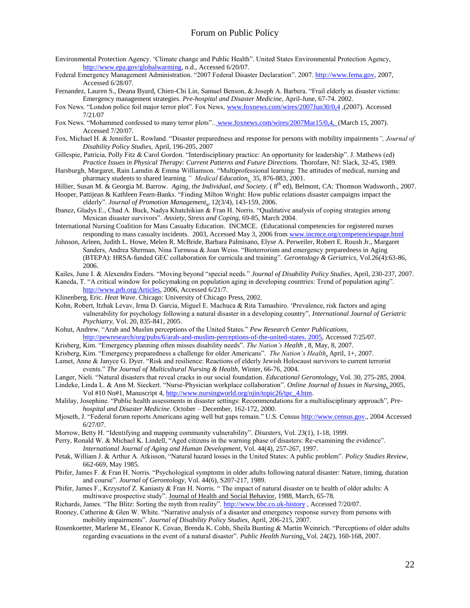- Environmental Protection Agency. "Climate change and Public Health". United States Environmental Protection Agency, [http://www.epa.gov/globalwarming,](http://www.epa.gov/globalwarming) n.d., Accessed 6/20/07.
- Federal Emergency Management Administration. "2007 Federal Disaster Declaration". 2007. [http://www.fema.gov,](http://www.fema.gov/) 2007, Accessed 6/28/07.
- Fernandez, Lauren S., Deana Byard, Chien-Chi Lin, Samuel Benson, & Joseph A. Barbera. "Frail elderly as disaster victims: Emergency management strategies. *Pre-hospital and Disaster Medicine,* April-June, 67-74. 2002.
- Fox News. "London police foil major terror plot". Fox News[, www.foxnews.com/wires/2007Jun30/0,4](http://www.foxnews.com/wires/2007Jun30/0,4) ,(2007). Accessed 7/21/07
- Fox News. "Mohammed confessed to many terror plots"... [www.foxnews.com/wires/2007Mar15/0,4,](http://www.foxnews.com/wires/2007Mar15/0,4) (March 15, 2007). Accessed 7/20/07.
- Fox, Michael H. & Jennifer L. Rowland. "Disaster preparedness and response for persons with mobility impairments*", Journal of Disability Policy Studies,* April, 196-205, 2007
- Gillespie, Patricia, Polly Fitz & Carol Gordon. "Interdisciplinary practice: An opportunity for leadership". J. Mathews (ed) *Practice Issues in Physical Therapy: Current Patterns and Future Directions.* Thorofare, NJ: Slack, 32-45, 1989.
- Harsburgh, Margaret, Rain Lamdin & Emma Williamson. "Multiprofessional learning: The attitudes of medical, nursing and pharmacy students to shared learning*." Medical Education*, 35, 876-883, 2001.
- Hillier, Susan M. & Georgia M. Barrow. *Aging, the Individual, and Society*. ( 8 th ed), Belmont, CA: Thomson Wadsworth., 2007. Hooper, Pattijean & Kathleen Fearn-Banks. "Finding Milton Wright: How public relations disaster campaigns impact the

elderly". *Journal of Promotion Management*,, 12(3/4), 143-159, 2006.

- Ibanez, Gladys E., Chad A. Buck, Nadya Khatchikian & Fran H. Norris. "Qualitative analysis of coping strategies among Mexican disaster survivors". *Anxiety, Stress and Coping*, 69-85, March 2004.
- International Nursing Coalition for Mass Casualty Education. INCMCE. (Educational competencies for registered nurses responding to mass casualty incidents. 2003, Accessed May 3, 2006 from [www.incmce.org/competenciespage.html](http://www.incmce.org/competenciespage.html)
- Johnson, Arleen, Judith L. Howe, Melen R. McBride, Barbara Palmisano, Elyse A. Perweiler, Robert E. Roush Jr., Margaret Sanders, Andrea Sherman, Nina Turmosa & Joan Weiss. "Bioterrorism and emergency preparedness in Aging (BTEPA): HRSA-funded GEC collaboration for curricula and training". *Gerontology & Geriatrics*, Vol.26(4):63-86, 2006.
- Kailes, June I. & Alexendra Enders. "Moving beyond "special needs." *Journal of Disability Policy Studies*, April, 230-237, 2007.
- Kaneda, T. "A critical window for policymaking on population aging in developing countries: Trend of population aging". [http://www.prb.org/Articles,](http://www.prb.org/Articles) 2006, Accessed 6/21/7.
- Klinenberg, Eric. *Heat Wave*. Chicago: University of Chicago Press, 2002.
- Kohn, Robert, Itzhak Levav, Irma D. Garcia, Miguel E. Machuca & Rita Tamashiro. "Prevalence, risk factors and aging vulnerability for psychology following a natural disaster in a developing country", *International Journal of Geriatric Psychiatry,* Vol. 20, 835-841, 2005.
- Kohut, Andrew. "Arab and Muslim perceptions of the United States." *Pew Research Center Publications*, [http://pewresearch/org/pubs/6/arab-and-muslim-perceptions-of-the-united-states. 2005,](http://pewresearch/org/pubs/6/arab-and-muslim-perceptions-of-the-united-states.%202005) Accessed 7/25/07.
- Krisberg, Kim. "Emergency planning often misses disability needs". *The Nation's Health* , 8, May, 8, 2007.
- Krisberg, Kim. "Emergency preparedness a challenge for older Americans". *The Nation's Health*, April, 1+, 2007.
- Lamet, Anne & Janyce G. Dyer. "Risk and resilience: Reactions of elderly Jewish Holocaust survivors to current terrorist events." *The Journal of Multicultural Nursing & Health*, Winter, 66-76, 2004.
- Langer, Nieli. "Natural disasters that reveal cracks in our social foundation. *Educational Gerontology*, Vol. 30, 275-285, 2004.
- Lindeke, Linda L. & Ann M. Sieckert. "Nurse-Physician workplace collaboration". *Online Journal of Issues in Nursing*, 2005, Vol #10 No#1, Manuscript 4, [http://www.nursingworld.org/ojin/topic26/tpc\\_4.htm.](http://www.nursingworld.org/ojin/topic26/tpc_4.htm)
- Malilay, Josephine. "Public health assessments in disaster settings: Recommendations for a multidisciplinary approach", *Prehospital and Disaster Medicine*. October – December, 162-172, 2000.
- Mjoseth, J. "Federal forum reports Americans aging well but gaps remain*.*" U.S. Censu[s http://www.census.gov.,](http://www.census.gov/) 2004 Accessed 6/27/07.
- Morrow, Betty H. "Identifying and mapping community vulnerability". *Disasters,* Vol*.* 23(1), 1-18, 1999.
- Perry, Ronald W. & Michael K. Lindell, "Aged citizens in the warning phase of disasters: Re-examining the evidence". *International Journal of Aging and Human Development*, Vol. 44(4), 257-267, 1997.
- Petak, William J. & Arthur A. Atkisson, "Natural hazard losses in the United States: A public problem". *Policy Studies Review,*  662-669, May 1985.
- Phifer, James F. & Fran H. Norris. "Psychological symptoms in older adults following natural disaster: Nature, timing, duration and course". *Journal of Gerontology*, Vol. 44(6), S207-217, 1989.
- Phifer, James F., Krzysztof Z. Kaniasty & Fran H. Norris. " The impact of natural disaster on te health of older adults: A multiwave prospective study". Journal of Health and Social Behavior, 1988, March, 65-78.
- Richards, James. "The Blitz: Sorting the myth from reality". [http://www.bbc.co.uk-history](http://www.bbc.co.uk-history/) , Accessed 7/20/07.
- Rooney, Catherine & Glen W. White. "Narrative analysis of a disaster and emergency response survey from persons with mobility impairments". *Journal of Disability Policy Studies*, April, 206-215, 2007.
- Rosenkoetter, Marlene M., Eleanor K. Covan, Brenda K. Cobb, Sheila Bunting & Martin Weinrich. "Perceptions of older adults regarding evacuations in the event of a natural disaster". *Public Health Nursing*, Vol. 24(2), 160-168, 2007.